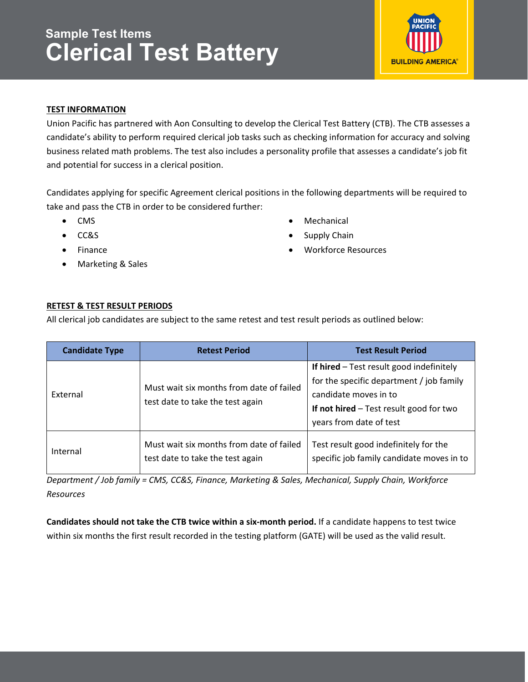# **Sample Test Items Clerical Test Battery**



# **TEST INFORMATION**

Union Pacific has partnered with Aon Consulting to develop the Clerical Test Battery (CTB). The CTB assesses a candidate's ability to perform required clerical job tasks such as checking information for accuracy and solving business related math problems. The test also includes a personality profile that assesses a candidate's job fit and potential for success in a clerical position.

Candidates applying for specific Agreement clerical positions in the following departments will be required to take and pass the CTB in order to be considered further:

- CMS
- CC&S
- Finance
- Marketing & Sales
- Mechanical
- Supply Chain
- Workforce Resources

# **RETEST & TEST RESULT PERIODS**

All clerical job candidates are subject to the same retest and test result periods as outlined below:

| <b>Candidate Type</b> | <b>Retest Period</b>                                                         | <b>Test Result Period</b>                                                                                                                                                             |
|-----------------------|------------------------------------------------------------------------------|---------------------------------------------------------------------------------------------------------------------------------------------------------------------------------------|
| External              | Must wait six months from date of failed<br>test date to take the test again | If hired - Test result good indefinitely<br>for the specific department / job family<br>candidate moves in to<br>If not hired $-$ Test result good for two<br>years from date of test |
| Internal              | Must wait six months from date of failed<br>test date to take the test again | Test result good indefinitely for the<br>specific job family candidate moves in to                                                                                                    |

*Department / Job family = CMS, CC&S, Finance, Marketing & Sales, Mechanical, Supply Chain, Workforce Resources* 

**Candidates should not take the CTB twice within a six‐month period.** If a candidate happens to test twice within six months the first result recorded in the testing platform (GATE) will be used as the valid result.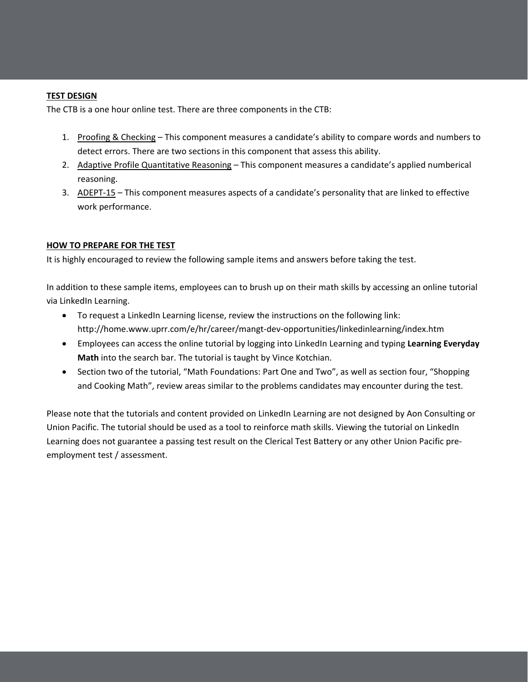### **TEST DESIGN**

The CTB is a one hour online test. There are three components in the CTB:

- 1. Proofing & Checking This component measures a candidate's ability to compare words and numbers to detect errors. There are two sections in this component that assess this ability.
- 2. Adaptive Profile Quantitative Reasoning This component measures a candidate's applied numberical reasoning.
- 3. ADEPT‐15 This component measures aspects of a candidate's personality that are linked to effective work performance.

#### **HOW TO PREPARE FOR THE TEST**

It is highly encouraged to review the following sample items and answers before taking the test.

In addition to these sample items, employees can to brush up on their math skills by accessing an online tutorial via LinkedIn Learning.

- To request a LinkedIn Learning license, review the instructions on the following link: http://home.www.uprr.com/e/hr/career/mangt‐dev‐opportunities/linkedinlearning/index.htm
- Employees can access the online tutorial by logging into LinkedIn Learning and typing **Learning Everyday Math** into the search bar. The tutorial is taught by Vince Kotchian.
- Section two of the tutorial, "Math Foundations: Part One and Two", as well as section four, "Shopping and Cooking Math", review areas similar to the problems candidates may encounter during the test.

Please note that the tutorials and content provided on LinkedIn Learning are not designed by Aon Consulting or Union Pacific. The tutorial should be used as a tool to reinforce math skills. Viewing the tutorial on LinkedIn Learning does not guarantee a passing test result on the Clerical Test Battery or any other Union Pacific pre‐ employment test / assessment.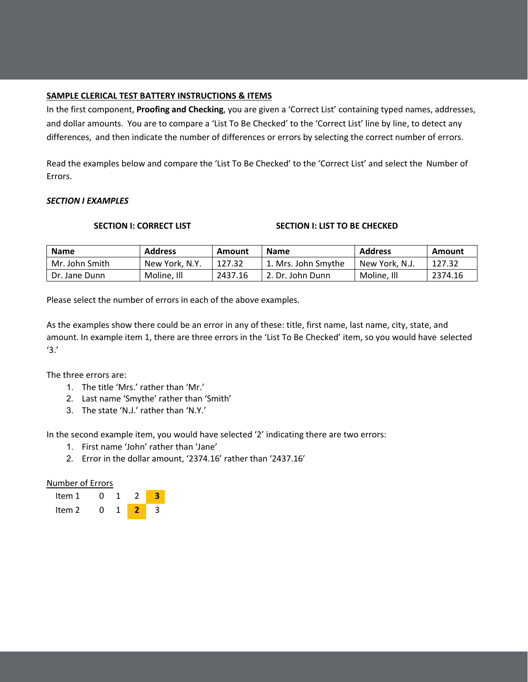#### **SAMPLE CLERICAL TEST BATTERY INSTRUCTIONS & ITEMS**

In the first component, **Proofing and Checking**, you are given a 'Correct List' containing typed names, addresses, and dollar amounts. You are to compare a 'List To Be Checked' to the 'Correct List' line by line, to detect any differences, and then indicate the number of differences or errors by selecting the correct number of errors.

Read the examples below and compare the 'List To Be Checked' to the 'Correct List' and select the Number of Errors.

#### *SECTION I EXAMPLES*

#### **SECTION I: CORRECT LIST SECTION I: LIST TO BE CHECKED**

| <b>Name</b>    | <b>Address</b> | Amount  | <b>Name</b>         | <b>Address</b> | Amount  |
|----------------|----------------|---------|---------------------|----------------|---------|
| Mr. John Smith | New York, N.Y. | 127.32  | 1. Mrs. John Smythe | New York, N.J. | 127.32  |
| Dr. Jane Dunn  | Moline, Ill    | 2437.16 | l 2. Dr. John Dunn  | Moline, Ill    | 2374.16 |

Please select the number of errors in each of the above examples.

As the examples show there could be an error in any of these: title, first name, last name, city, state, and amount. In example item 1, there are three errors in the 'List To Be Checked' item, so you would have selected '3.'

The three errors are:

- 1. The title 'Mrs.' rather than 'Mr.'
- 2. Last name 'Smythe' rather than 'Smith'
- 3. The state 'N.J.' rather than 'N.Y.'

In the second example item, you would have selected '2' indicating there are two errors:

- 1. First name 'John' rather than 'Jane'
- 2. Error in the dollar amount, '2374.16' rather than '2437.16'

### Number of Errors

| Item 1 |  |  |
|--------|--|--|
| Item 2 |  |  |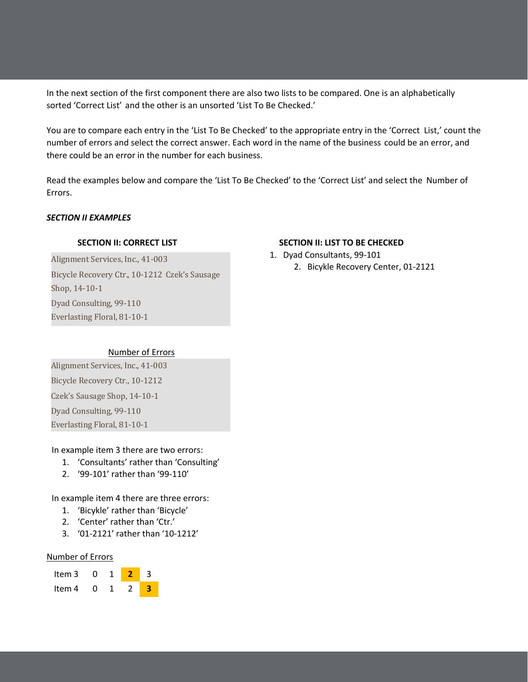In the next section of the first component there are also two lists to be compared. One is an alphabetically sorted 'Correct List' and the other is an unsorted 'List To Be Checked.'

You are to compare each entry in the 'List To Be Checked' to the appropriate entry in the 'Correct List,' count the number of errors and select the correct answer. Each word in the name of the business could be an error, and there could be an error in the number for each business.

Read the examples below and compare the 'List To Be Checked' to the 'Correct List' and select the Number of Errors.

#### *SECTION II EXAMPLES*

Alignment Services, Inc., 41-003 Bicycle Recovery Ctr., 10-1212 Czek's Sausage Shop, 14-10-1 Dyad Consulting, 99-110 Everlasting Floral, 81-10-1

# **SECTION II: CORRECT LIST SECTION II: LIST TO BE CHECKED**

- 1. Dyad Consultants, 99-101
	- 2. Bicykle Recovery Center, 01‐2121

### Number of Errors

Alignment Services, Inc., 41-003 Bicycle Recovery Ctr., 10-1212 Czek's Sausage Shop, 14-10-1 Dyad Consulting, 99-110 Everlasting Floral, 81-10-1

### In example item 3 there are two errors:

- 1. 'Consultants' rather than 'Consulting'
- 2. '99‐101' rather than '99‐110'

In example item 4 there are three errors:

- 1. 'Bicykle' rather than 'Bicycle'
- 2. 'Center' rather than 'Ctr.'
- 3. '01‐2121' rather than '10‐1212'

#### Number of Errors

| Item 3 | O |  |  |
|--------|---|--|--|
| Item 4 | O |  |  |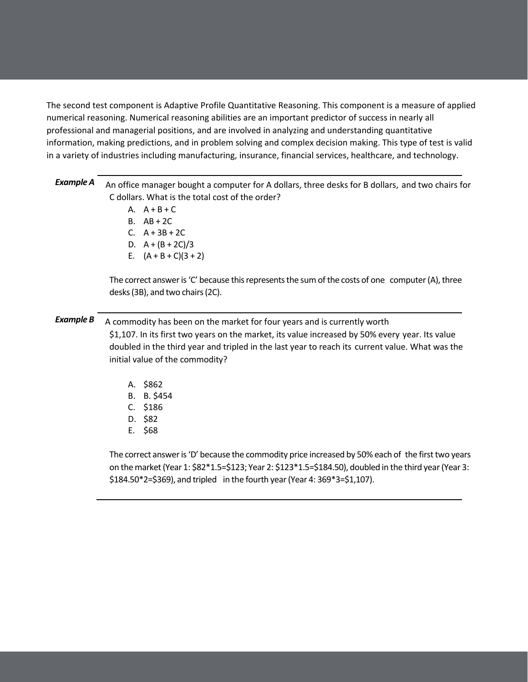The second test component is Adaptive Profile Quantitative Reasoning. This component is a measure of applied numerical reasoning. Numerical reasoning abilities are an important predictor of success in nearly all professional and managerial positions, and are involved in analyzing and understanding quantitative information, making predictions, and in problem solving and complex decision making. This type of test is valid in a variety of industries including manufacturing, insurance, financial services, healthcare, and technology.

| Example A | An office manager bought a computer for A dollars, three desks for B dollars, and two chairs for |
|-----------|--------------------------------------------------------------------------------------------------|
|           | C dollars. What is the total cost of the order?                                                  |

- A.  $A + B + C$
- B. AB + 2C
- C. A + 3B + 2C
- D.  $A + (B + 2C)/3$
- E.  $(A + B + C)(3 + 2)$

The correct answer is 'C' because this represents the sum of the costs of one computer (A), three desks (3B), and two chairs (2C).

# **Example B** A commodity has been on the market for four years and is currently worth

\$1,107. In its first two years on the market, its value increased by 50% every year. Its value doubled in the third year and tripled in the last year to reach its current value. What was the initial value of the commodity?

- A. \$862
- B. B. \$454
- C. \$186
- D. \$82
- E. \$68

The correct answer is 'D' because the commodity price increased by 50% each of the first two years on the market (Year 1: \$82\*1.5=\$123; Year 2: \$123\*1.5=\$184.50), doubled in the third year (Year 3: \$184.50\*2=\$369), and tripled in the fourth year (Year 4: 369\*3=\$1,107).